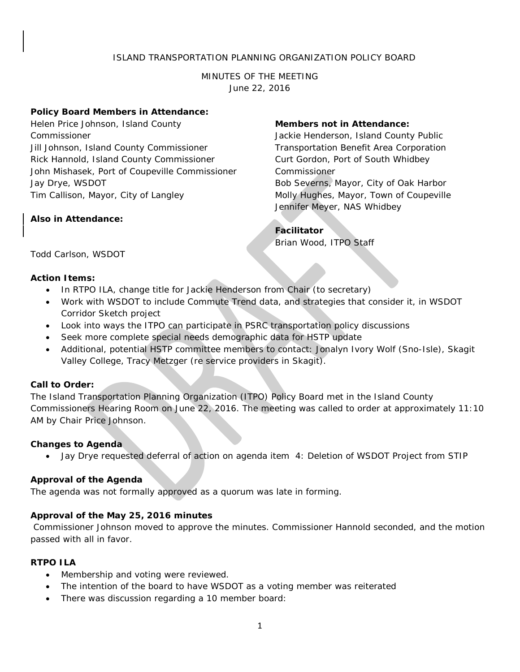# ISLAND TRANSPORTATION PLANNING ORGANIZATION POLICY BOARD

MINUTES OF THE MEETING June 22, 2016

#### **Policy Board Members in Attendance:**

Helen Price Johnson, Island County Commissioner Jill Johnson, Island County Commissioner Rick Hannold, Island County Commissioner John Mishasek, Port of Coupeville Commissioner Jay Drye, WSDOT Tim Callison, Mayor, City of Langley

#### **Also in Attendance:**

#### **Members not in Attendance:**

Jackie Henderson, Island County Public Transportation Benefit Area Corporation Curt Gordon, Port of South Whidbey Commissioner Bob Severns, Mayor, City of Oak Harbor Molly Hughes, Mayor, Town of Coupeville Jennifer Meyer, NAS Whidbey

## **Facilitator**

Brian Wood, ITPO Staff

Todd Carlson, WSDOT

## **Action Items:**

- In RTPO ILA, change title for Jackie Henderson from Chair (to secretary)
- Work with WSDOT to include Commute Trend data, and strategies that consider it, in WSDOT Corridor Sketch project
- Look into ways the ITPO can participate in PSRC transportation policy discussions
- Seek more complete special needs demographic data for HSTP update
- Additional, potential HSTP committee members to contact: Jonalyn Ivory Wolf (Sno-Isle), Skagit Valley College, Tracy Metzger (re service providers in Skagit).

## **Call to Order:**

The Island Transportation Planning Organization (ITPO) Policy Board met in the Island County Commissioners Hearing Room on June 22, 2016. The meeting was called to order at approximately 11:10 AM by Chair Price Johnson.

## **Changes to Agenda**

• Jay Drye requested deferral of action on agenda item 4: Deletion of WSDOT Project from STIP

## **Approval of the Agenda**

The agenda was not formally approved as a quorum was late in forming.

# **Approval of the May 25, 2016 minutes**

Commissioner Johnson moved to approve the minutes. Commissioner Hannold seconded, and the motion passed with all in favor.

## **RTPO ILA**

- Membership and voting were reviewed.
- The intention of the board to have WSDOT as a voting member was reiterated
- There was discussion regarding a 10 member board: